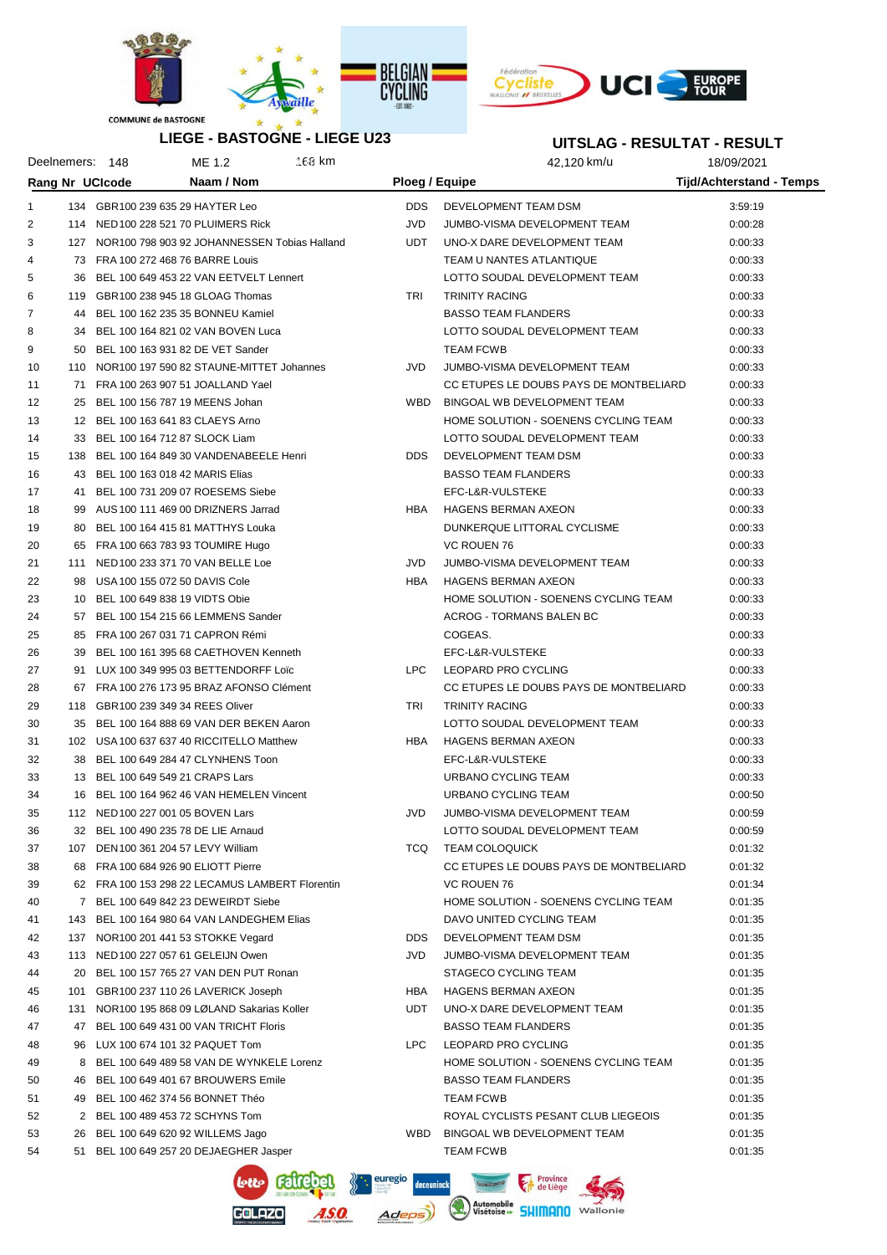



## **LIEGE - BASTOGNE - LIEGE U23**

| <b>LIEGE - BASTOGNE - LIEGE U23</b> |    |                 |                                                  |                | UITSLAG - RESULTAT - RESULT            |                                 |  |
|-------------------------------------|----|-----------------|--------------------------------------------------|----------------|----------------------------------------|---------------------------------|--|
|                                     |    | Deelnemers: 148 | $168$ km<br>ME 1.2                               |                | 42,120 km/u                            | 18/09/2021                      |  |
|                                     |    | Rang Nr UCIcode | Naam / Nom                                       | Ploeg / Equipe |                                        | <b>Tijd/Achterstand - Temps</b> |  |
| 1                                   |    |                 | 134 GBR100 239 635 29 HAYTER Leo                 | DDS.           | DEVELOPMENT TEAM DSM                   | 3:59:19                         |  |
| 2                                   |    |                 | 114 NED 100 228 521 70 PLUIMERS Rick             | JVD.           | JUMBO-VISMA DEVELOPMENT TEAM           | 0:00:28                         |  |
| 3                                   |    |                 | 127 NOR100 798 903 92 JOHANNESSEN Tobias Halland | UDT            | UNO-X DARE DEVELOPMENT TEAM            | 0:00:33                         |  |
| $\overline{4}$                      |    |                 | 73 FRA 100 272 468 76 BARRE Louis                |                | TEAM U NANTES ATLANTIQUE               | 0:00:33                         |  |
| 5                                   |    |                 | 36 BEL 100 649 453 22 VAN EETVELT Lennert        |                | LOTTO SOUDAL DEVELOPMENT TEAM          | 0:00:33                         |  |
| 6                                   |    |                 |                                                  | TRI            |                                        |                                 |  |
|                                     |    |                 | 119 GBR100 238 945 18 GLOAG Thomas               |                | <b>TRINITY RACING</b>                  | 0:00:33                         |  |
| 7                                   |    |                 | 44 BEL 100 162 235 35 BONNEU Kamiel              |                | <b>BASSO TEAM FLANDERS</b>             | 0:00:33                         |  |
| 8                                   |    |                 | 34 BEL 100 164 821 02 VAN BOVEN Luca             |                | LOTTO SOUDAL DEVELOPMENT TEAM          | 0:00:33                         |  |
| 9                                   |    |                 | 50 BEL 100 163 931 82 DE VET Sander              |                | <b>TEAM FCWB</b>                       | 0:00:33                         |  |
| 10                                  |    |                 | 110 NOR100 197 590 82 STAUNE-MITTET Johannes     | JVD.           | JUMBO-VISMA DEVELOPMENT TEAM           | 0:00:33                         |  |
| 11                                  |    |                 | 71 FRA 100 263 907 51 JOALLAND Yael              |                | CC ETUPES LE DOUBS PAYS DE MONTBELIARD | 0:00:33                         |  |
| 12                                  | 25 |                 | BEL 100 156 787 19 MEENS Johan                   |                | WBD BINGOAL WB DEVELOPMENT TEAM        | 0:00:33                         |  |
| 13                                  |    |                 | 12 BEL 100 163 641 83 CLAEYS Arno                |                | HOME SOLUTION - SOENENS CYCLING TEAM   | 0:00:33                         |  |
| 14                                  |    |                 | 33 BEL 100 164 712 87 SLOCK Liam                 |                | LOTTO SOUDAL DEVELOPMENT TEAM          | 0:00:33                         |  |
| 15                                  |    |                 | 138 BEL 100 164 849 30 VANDENABEELE Henri        | DDS            | DEVELOPMENT TEAM DSM                   | 0:00:33                         |  |
| 16                                  |    |                 | 43 BEL 100 163 018 42 MARIS Elias                |                | <b>BASSO TEAM FLANDERS</b>             | 0:00:33                         |  |
| 17                                  |    |                 | 41 BEL 100 731 209 07 ROESEMS Siebe              |                | EFC-L&R-VULSTEKE                       | 0:00:33                         |  |
| 18                                  |    |                 | 99 AUS 100 111 469 00 DRIZNERS Jarrad            | <b>HBA</b>     | HAGENS BERMAN AXEON                    | 0:00:33                         |  |
| 19                                  |    |                 | 80 BEL 100 164 415 81 MATTHYS Louka              |                | DUNKERQUE LITTORAL CYCLISME            | 0:00:33                         |  |
| 20                                  |    |                 | 65 FRA 100 663 783 93 TOUMIRE Hugo               |                | <b>VC ROUEN 76</b>                     | 0:00:33                         |  |
| 21                                  |    |                 | 111 NED 100 233 371 70 VAN BELLE Loe             | JVD.           | JUMBO-VISMA DEVELOPMENT TEAM           | 0:00:33                         |  |
| 22                                  |    |                 | 98 USA 100 155 072 50 DAVIS Cole                 | <b>HBA</b>     | HAGENS BERMAN AXEON                    | 0:00:33                         |  |
| 23                                  |    |                 | 10 BEL 100 649 838 19 VIDTS Obie                 |                | HOME SOLUTION - SOENENS CYCLING TEAM   | 0:00:33                         |  |
| 24                                  |    |                 | 57 BEL 100 154 215 66 LEMMENS Sander             |                | ACROG - TORMANS BALEN BC               | 0:00:33                         |  |
| 25                                  |    |                 | 85 FRA 100 267 031 71 CAPRON Rémi                |                | COGEAS.                                | 0:00:33                         |  |
| 26                                  |    |                 | 39 BEL 100 161 395 68 CAETHOVEN Kenneth          |                | EFC-L&R-VULSTEKE                       | 0:00:33                         |  |
| 27                                  |    |                 | 91 LUX 100 349 995 03 BETTENDORFF Loïc           | LPC.           | LEOPARD PRO CYCLING                    | 0:00:33                         |  |
| 28                                  |    |                 | 67 FRA 100 276 173 95 BRAZ AFONSO Clément        |                | CC ETUPES LE DOUBS PAYS DE MONTBELIARD | 0:00:33                         |  |
| 29                                  |    |                 | 118 GBR100 239 349 34 REES Oliver                | TRI            | <b>TRINITY RACING</b>                  | 0:00:33                         |  |
| 30                                  |    |                 | 35 BEL 100 164 888 69 VAN DER BEKEN Aaron        |                | LOTTO SOUDAL DEVELOPMENT TEAM          | 0:00:33                         |  |
| 31                                  |    |                 | 102 USA 100 637 637 40 RICCITELLO Matthew        | HBA            | HAGENS BERMAN AXEON                    | 0:00:33                         |  |
| 32                                  |    |                 | 38 BEL 100 649 284 47 CLYNHENS Toon              |                | EFC-L&R-VULSTEKE                       | 0:00:33                         |  |
| 33                                  |    |                 | 13 BEL 100 649 549 21 CRAPS Lars                 |                | URBANO CYCLING TEAM                    | 0:00:33                         |  |
| 34                                  |    |                 | 16 BEL 100 164 962 46 VAN HEMELEN Vincent        |                | <b>URBANO CYCLING TEAM</b>             | 0:00:50                         |  |
| 35                                  |    |                 | 112 NED 100 227 001 05 BOVEN Lars                | JVD            | JUMBO-VISMA DEVELOPMENT TEAM           | 0:00:59                         |  |
| 36                                  |    |                 | 32 BEL 100 490 235 78 DE LIE Arnaud              |                | LOTTO SOUDAL DEVELOPMENT TEAM          | 0:00:59                         |  |
| 37                                  |    |                 | 107 DEN 100 361 204 57 LEVY William              | TCQ.           | <b>TEAM COLOQUICK</b>                  | 0:01:32                         |  |
| 38                                  |    |                 | 68 FRA 100 684 926 90 ELIOTT Pierre              |                | CC ETUPES LE DOUBS PAYS DE MONTBELIARD | 0:01:32                         |  |
| 39                                  |    |                 | 62 FRA 100 153 298 22 LECAMUS LAMBERT Florentin  |                | VC ROUEN 76                            | 0:01:34                         |  |
| 40                                  |    |                 | 7 BEL 100 649 842 23 DEWEIRDT Siebe              |                | HOME SOLUTION - SOENENS CYCLING TEAM   | 0:01:35                         |  |
| 41                                  |    |                 | 143 BEL 100 164 980 64 VAN LANDEGHEM Elias       |                | DAVO UNITED CYCLING TEAM               | 0:01:35                         |  |
| 42                                  |    |                 | 137 NOR100 201 441 53 STOKKE Vegard              | DDS.           | DEVELOPMENT TEAM DSM                   | 0:01:35                         |  |
| 43                                  |    |                 | 113 NED 100 227 057 61 GELEIJN Owen              | JVD            | JUMBO-VISMA DEVELOPMENT TEAM           | 0:01:35                         |  |
| 44                                  |    |                 | 20 BEL 100 157 765 27 VAN DEN PUT Ronan          |                | STAGECO CYCLING TEAM                   | 0:01:35                         |  |
| 45                                  |    |                 | 101 GBR100 237 110 26 LAVERICK Joseph            | HBA            | HAGENS BERMAN AXEON                    | 0:01:35                         |  |
| 46                                  |    |                 | 131 NOR100 195 868 09 LØLAND Sakarias Koller     | UDT            | UNO-X DARE DEVELOPMENT TEAM            | 0:01:35                         |  |
| 47                                  | 47 |                 | BEL 100 649 431 00 VAN TRICHT Floris             |                | <b>BASSO TEAM FLANDERS</b>             | 0:01:35                         |  |
| 48                                  |    |                 | 96 LUX 100 674 101 32 PAQUET Tom                 | <b>LPC</b>     | LEOPARD PRO CYCLING                    | 0:01:35                         |  |
| 49                                  |    |                 | 8 BEL 100 649 489 58 VAN DE WYNKELE Lorenz       |                | HOME SOLUTION - SOENENS CYCLING TEAM   | 0:01:35                         |  |
| 50                                  | 46 |                 | BEL 100 649 401 67 BROUWERS Emile                |                | <b>BASSO TEAM FLANDERS</b>             | 0:01:35                         |  |
| 51                                  |    |                 | 49 BEL 100 462 374 56 BONNET Théo                |                | <b>TEAM FCWB</b>                       | 0:01:35                         |  |
| 52                                  |    |                 | 2 BEL 100 489 453 72 SCHYNS Tom                  |                | ROYAL CYCLISTS PESANT CLUB LIEGEOIS    | 0:01:35                         |  |
| 53                                  |    |                 | 26 BEL 100 649 620 92 WILLEMS Jago               | WBD            | BINGOAL WB DEVELOPMENT TEAM            | 0:01:35                         |  |
| 54                                  |    |                 | 51 BEL 100 649 257 20 DEJAEGHER Jasper           |                | <b>TEAM FCWB</b>                       | 0:01:35                         |  |

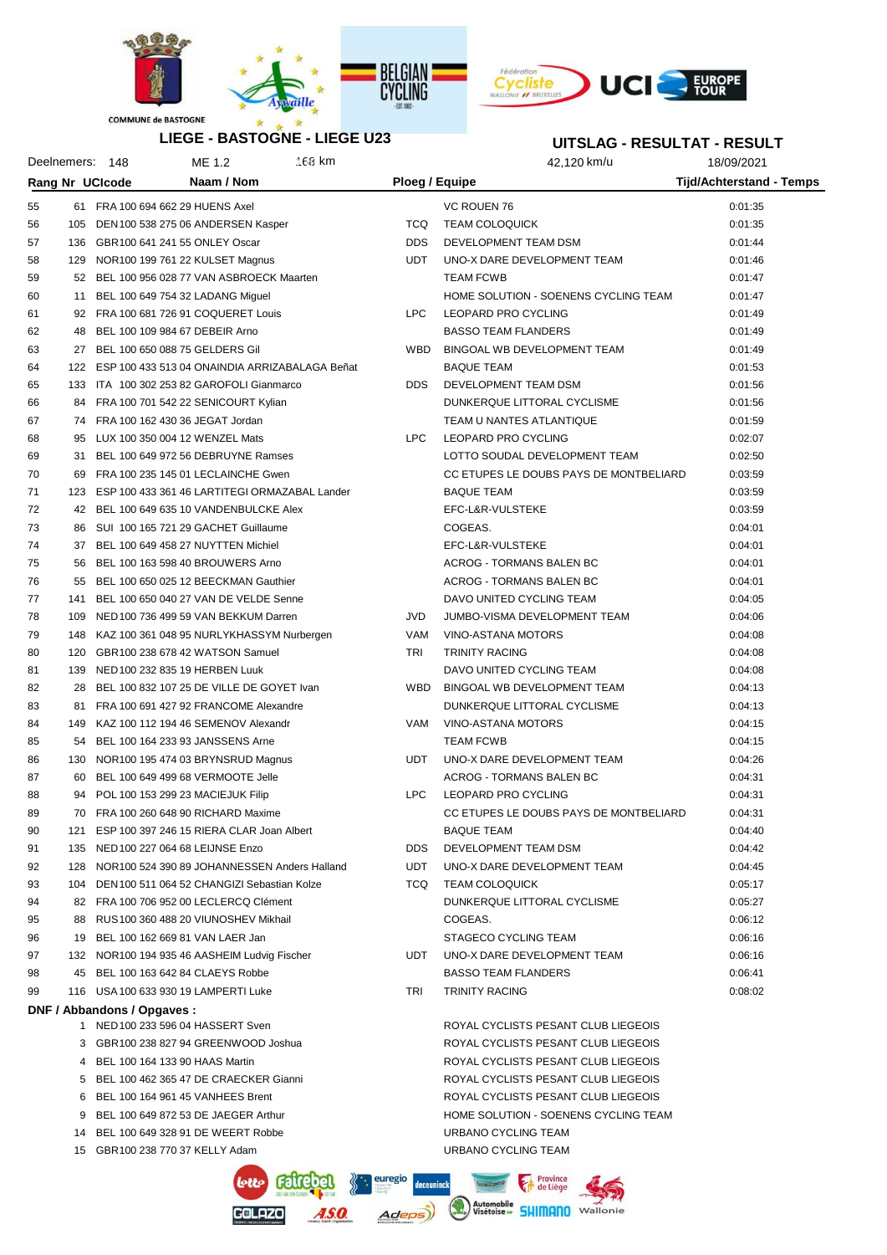



### **UITSLAG - RESULTAT - RESULT**

| LIEGE - BASTOGNE - LIEGE U23 |                 |                                     |                                                    |        | UITSLAG - RESULTAT - RESULT |                                        |                                 |
|------------------------------|-----------------|-------------------------------------|----------------------------------------------------|--------|-----------------------------|----------------------------------------|---------------------------------|
|                              | Deelnemers: 148 |                                     | ME 1.2                                             | 168 km |                             | 42,120 km/u                            | 18/09/2021                      |
|                              |                 | Rang Nr UCIcode                     | Naam / Nom                                         |        | Ploeg / Equipe              |                                        | <b>Tijd/Achterstand - Temps</b> |
| 55                           |                 | 61 FRA 100 694 662 29 HUENS Axel    |                                                    |        |                             | VC ROUEN 76                            | 0:01:35                         |
| 56                           |                 |                                     | 105 DEN 100 538 275 06 ANDERSEN Kasper             |        | <b>TCQ</b>                  | <b>TEAM COLOQUICK</b>                  | 0:01:35                         |
| 57                           |                 | 136 GBR100 641 241 55 ONLEY Oscar   |                                                    |        | <b>DDS</b>                  | DEVELOPMENT TEAM DSM                   | 0:01:44                         |
| 58                           |                 |                                     | 129 NOR100 199 761 22 KULSET Magnus                |        | UDT                         | UNO-X DARE DEVELOPMENT TEAM            | 0:01:46                         |
| 59                           |                 |                                     | 52 BEL 100 956 028 77 VAN ASBROECK Maarten         |        |                             | <b>TEAM FCWB</b>                       | 0:01:47                         |
| 60                           |                 |                                     |                                                    |        |                             | HOME SOLUTION - SOENENS CYCLING TEAM   | 0:01:47                         |
|                              | 11              |                                     | BEL 100 649 754 32 LADANG Miguel                   |        | <b>LPC</b>                  |                                        |                                 |
| 61                           |                 |                                     | 92 FRA 100 681 726 91 COQUERET Louis               |        |                             | LEOPARD PRO CYCLING                    | 0:01:49                         |
| 62                           |                 | 48 BEL 100 109 984 67 DEBEIR Arno   |                                                    |        |                             | <b>BASSO TEAM FLANDERS</b>             | 0:01:49                         |
| 63                           |                 | 27 BEL 100 650 088 75 GELDERS Gil   |                                                    |        | <b>WBD</b>                  | BINGOAL WB DEVELOPMENT TEAM            | 0:01:49                         |
| 64                           |                 |                                     | 122 ESP 100 433 513 04 ONAINDIA ARRIZABALAGA Beñat |        |                             | <b>BAQUE TEAM</b>                      | 0:01:53                         |
| 65                           |                 |                                     | 133 ITA 100 302 253 82 GAROFOLI Gianmarco          |        | DDS.                        | DEVELOPMENT TEAM DSM                   | 0:01:56                         |
| 66                           |                 |                                     | 84 FRA 100 701 542 22 SENICOURT Kylian             |        |                             | DUNKERQUE LITTORAL CYCLISME            | 0:01:56                         |
| 67                           |                 | 74 FRA 100 162 430 36 JEGAT Jordan  |                                                    |        |                             | TEAM U NANTES ATLANTIQUE               | 0:01:59                         |
| 68                           |                 | 95 LUX 100 350 004 12 WENZEL Mats   |                                                    |        | LPC                         | LEOPARD PRO CYCLING                    | 0:02:07                         |
| 69                           |                 |                                     | 31 BEL 100 649 972 56 DEBRUYNE Ramses              |        |                             | LOTTO SOUDAL DEVELOPMENT TEAM          | 0:02:50                         |
| 70                           | 69              |                                     | FRA 100 235 145 01 LECLAINCHE Gwen                 |        |                             | CC ETUPES LE DOUBS PAYS DE MONTBELIARD | 0:03:59                         |
| 71                           | 123             |                                     | ESP 100 433 361 46 LARTITEGI ORMAZABAL Lander      |        |                             | <b>BAQUE TEAM</b>                      | 0:03:59                         |
| 72                           |                 |                                     | 42 BEL 100 649 635 10 VANDENBULCKE Alex            |        |                             | EFC-L&R-VULSTEKE                       | 0:03:59                         |
| 73                           | 86              |                                     | SUI 100 165 721 29 GACHET Guillaume                |        |                             | COGEAS.                                | 0:04:01                         |
| 74                           |                 |                                     | 37 BEL 100 649 458 27 NUYTTEN Michiel              |        |                             | EFC-L&R-VULSTEKE                       | 0:04:01                         |
| 75                           | 56              |                                     | BEL 100 163 598 40 BROUWERS Arno                   |        |                             | ACROG - TORMANS BALEN BC               | 0:04:01                         |
| 76                           |                 |                                     | 55 BEL 100 650 025 12 BEECKMAN Gauthier            |        |                             | ACROG - TORMANS BALEN BC               | 0:04:01                         |
| 77                           | 141             |                                     | BEL 100 650 040 27 VAN DE VELDE Senne              |        |                             | DAVO UNITED CYCLING TEAM               | 0:04:05                         |
| 78                           | 109             |                                     | NED 100 736 499 59 VAN BEKKUM Darren               |        | JVD                         | JUMBO-VISMA DEVELOPMENT TEAM           | 0:04:06                         |
| 79                           | 148             |                                     | KAZ 100 361 048 95 NURLYKHASSYM Nurbergen          |        | VAM                         | VINO-ASTANA MOTORS                     | 0:04:08                         |
| 80                           | 120             |                                     | GBR100 238 678 42 WATSON Samuel                    |        | TRI                         | <b>TRINITY RACING</b>                  | 0:04:08                         |
| 81                           | 139             | NED 100 232 835 19 HERBEN Luuk      |                                                    |        |                             | DAVO UNITED CYCLING TEAM               | 0:04:08                         |
| 82                           | 28              |                                     | BEL 100 832 107 25 DE VILLE DE GOYET Ivan          |        | <b>WBD</b>                  | BINGOAL WB DEVELOPMENT TEAM            | 0:04:13                         |
| 83                           | 81              |                                     | FRA 100 691 427 92 FRANCOME Alexandre              |        |                             | DUNKERQUE LITTORAL CYCLISME            | 0:04:13                         |
| 84                           | 149             |                                     | KAZ 100 112 194 46 SEMENOV Alexandr                |        | VAM                         | <b>VINO-ASTANA MOTORS</b>              | 0:04:15                         |
| 85                           | 54              |                                     | BEL 100 164 233 93 JANSSENS Arne                   |        |                             | <b>TEAM FCWB</b>                       | 0:04:15                         |
| 86                           | 130             |                                     | NOR100 195 474 03 BRYNSRUD Magnus                  |        | UDT.                        | UNO-X DARE DEVELOPMENT TEAM            | 0:04:26                         |
| 87                           | 60              |                                     | BEL 100 649 499 68 VERMOOTE Jelle                  |        |                             | ACROG - TORMANS BALEN BC               | 0:04:31                         |
| 88                           | 94              |                                     | POL 100 153 299 23 MACIEJUK Filip                  |        | LPC                         | LEOPARD PRO CYCLING                    | 0:04:31                         |
| 89                           |                 |                                     | 70 FRA 100 260 648 90 RICHARD Maxime               |        |                             | CC ETUPES LE DOUBS PAYS DE MONTBELIARD | 0:04:31                         |
| 90                           |                 |                                     | 121 ESP 100 397 246 15 RIERA CLAR Joan Albert      |        |                             | <b>BAQUE TEAM</b>                      | 0:04:40                         |
| 91                           |                 | 135 NED 100 227 064 68 LEIJNSE Enzo |                                                    |        | <b>DDS</b>                  | DEVELOPMENT TEAM DSM                   | 0:04:42                         |
| 92                           |                 |                                     | 128 NOR100 524 390 89 JOHANNESSEN Anders Halland   |        | UDT                         | UNO-X DARE DEVELOPMENT TEAM            | 0:04:45                         |
| 93                           |                 |                                     | 104 DEN 100 511 064 52 CHANGIZI Sebastian Kolze    |        | TCQ                         | <b>TEAM COLOQUICK</b>                  | 0:05:17                         |
| 94                           |                 |                                     | 82 FRA 100 706 952 00 LECLERCQ Clément             |        |                             | DUNKERQUE LITTORAL CYCLISME            | 0:05:27                         |
| 95                           |                 |                                     | 88 RUS 100 360 488 20 VIUNOSHEV Mikhail            |        |                             | COGEAS.                                | 0:06:12                         |
|                              |                 | 19 BEL 100 162 669 81 VAN LAER Jan  |                                                    |        |                             | STAGECO CYCLING TEAM                   | 0:06:16                         |
| 96                           |                 |                                     |                                                    |        |                             |                                        |                                 |
| 97                           |                 |                                     | 132 NOR100 194 935 46 AASHEIM Ludvig Fischer       |        | UDT                         | UNO-X DARE DEVELOPMENT TEAM            | 0:06:16                         |
| 98                           |                 | 45 BEL 100 163 642 84 CLAEYS Robbe  |                                                    |        |                             | <b>BASSO TEAM FLANDERS</b>             | 0:06:41                         |
| 99                           |                 |                                     | 116 USA 100 633 930 19 LAMPERTI Luke               |        | TRI                         | <b>TRINITY RACING</b>                  | 0:08:02                         |
|                              |                 | DNF / Abbandons / Opgaves :         |                                                    |        |                             |                                        |                                 |
|                              |                 |                                     | 1 NED 100 233 596 04 HASSERT Sven                  |        |                             | ROYAL CYCLISTS PESANT CLUB LIEGEOIS    |                                 |
|                              |                 |                                     | 3 GBR100 238 827 94 GREENWOOD Joshua               |        |                             | ROYAL CYCLISTS PESANT CLUB LIEGEOIS    |                                 |
|                              |                 | 4 BEL 100 164 133 90 HAAS Martin    |                                                    |        |                             | ROYAL CYCLISTS PESANT CLUB LIEGEOIS    |                                 |
|                              |                 |                                     | 5 BEL 100 462 365 47 DE CRAECKER Gianni            |        |                             | ROYAL CYCLISTS PESANT CLUB LIEGEOIS    |                                 |
|                              |                 |                                     | 6 BEL 100 164 961 45 VANHEES Brent                 |        |                             | ROYAL CYCLISTS PESANT CLUB LIEGEOIS    |                                 |
|                              |                 |                                     | 9 BEL 100 649 872 53 DE JAEGER Arthur              |        |                             | HOME SOLUTION - SOENENS CYCLING TEAM   |                                 |
|                              |                 |                                     | 14 BEL 100 649 328 91 DE WEERT Robbe               |        |                             | URBANO CYCLING TEAM                    |                                 |
|                              |                 | 15 GBR100 238 770 37 KELLY Adam     |                                                    |        |                             | URBANO CYCLING TEAM                    |                                 |

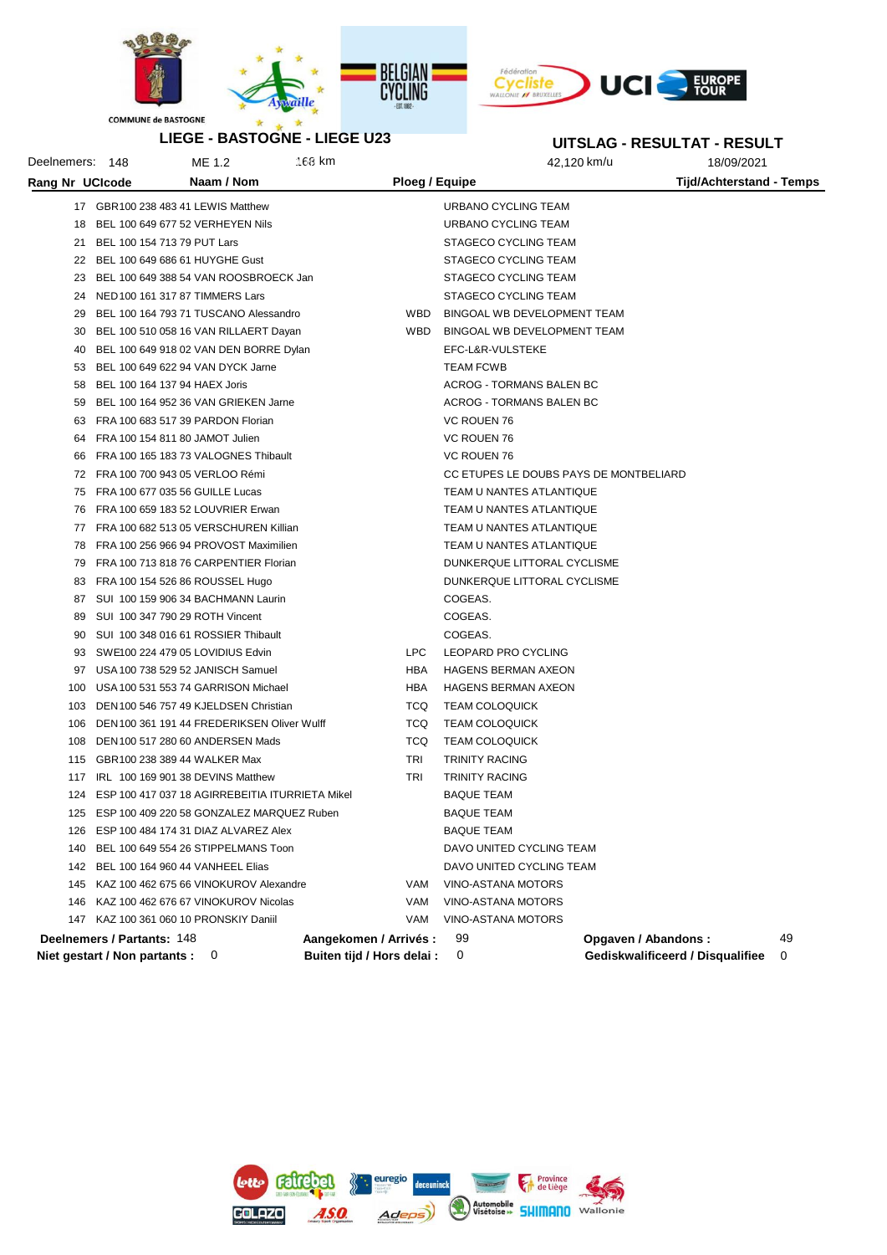



**LIEGE - BASTOGNE - LIEGE U23**

# **UITSLAG - RESULTAT - RESULT**

Deelnemers: 148 ME 1.2 168 km 3:59:19 168 km 42,120 km/u 42,120 km/u 18/09/2021

| Rang Nr UCIcode |                               | Naam / Nom                                          |                            | Ploeg / Equipe |                                        | <b>Tijd/Achterstand - Temps</b>  |    |
|-----------------|-------------------------------|-----------------------------------------------------|----------------------------|----------------|----------------------------------------|----------------------------------|----|
|                 |                               | 17 GBR100 238 483 41 LEWIS Matthew                  |                            |                | URBANO CYCLING TEAM                    |                                  |    |
|                 |                               | 18 BEL 100 649 677 52 VERHEYEN Nils                 |                            |                | URBANO CYCLING TEAM                    |                                  |    |
|                 |                               | 21 BEL 100 154 713 79 PUT Lars                      |                            |                | STAGECO CYCLING TEAM                   |                                  |    |
|                 |                               | 22 BEL 100 649 686 61 HUYGHE Gust                   |                            |                | STAGECO CYCLING TEAM                   |                                  |    |
|                 |                               | 23 BEL 100 649 388 54 VAN ROOSBROECK Jan            |                            |                | STAGECO CYCLING TEAM                   |                                  |    |
|                 |                               | 24 NED 100 161 317 87 TIMMERS Lars                  |                            |                | STAGECO CYCLING TEAM                   |                                  |    |
|                 |                               | 29 BEL 100 164 793 71 TUSCANO Alessandro            |                            | WBD            | BINGOAL WB DEVELOPMENT TEAM            |                                  |    |
|                 |                               | 30 BEL 100 510 058 16 VAN RILLAERT Dayan            |                            | WBD            | BINGOAL WB DEVELOPMENT TEAM            |                                  |    |
| 40              |                               | BEL 100 649 918 02 VAN DEN BORRE Dylan              |                            |                | EFC-L&R-VULSTEKE                       |                                  |    |
|                 |                               | 53 BEL 100 649 622 94 VAN DYCK Jarne                |                            |                | <b>TEAM FCWB</b>                       |                                  |    |
|                 |                               | 58 BEL 100 164 137 94 HAEX Joris                    |                            |                | ACROG - TORMANS BALEN BC               |                                  |    |
|                 |                               | 59 BEL 100 164 952 36 VAN GRIEKEN Jarne             |                            |                | ACROG - TORMANS BALEN BC               |                                  |    |
|                 |                               | 63 FRA 100 683 517 39 PARDON Florian                |                            |                | VC ROUEN 76                            |                                  |    |
|                 |                               | 64 FRA 100 154 811 80 JAMOT Julien                  |                            |                | VC ROUEN 76                            |                                  |    |
|                 |                               | 66 FRA 100 165 183 73 VALOGNES Thibault             |                            |                | VC ROUEN 76                            |                                  |    |
|                 |                               | 72 FRA 100 700 943 05 VERLOO Rémi                   |                            |                | CC ETUPES LE DOUBS PAYS DE MONTBELIARD |                                  |    |
|                 |                               | 75 FRA 100 677 035 56 GUILLE Lucas                  |                            |                | TEAM U NANTES ATLANTIQUE               |                                  |    |
|                 |                               | 76 FRA 100 659 183 52 LOUVRIER Erwan                |                            |                | TEAM U NANTES ATLANTIQUE               |                                  |    |
|                 |                               | 77 FRA 100 682 513 05 VERSCHUREN Killian            |                            |                | TEAM U NANTES ATLANTIQUE               |                                  |    |
|                 |                               | 78 FRA 100 256 966 94 PROVOST Maximilien            |                            |                | TEAM U NANTES ATLANTIQUE               |                                  |    |
|                 |                               | 79 FRA 100 713 818 76 CARPENTIER Florian            |                            |                | DUNKERQUE LITTORAL CYCLISME            |                                  |    |
|                 |                               | 83 FRA 100 154 526 86 ROUSSEL Hugo                  |                            |                | DUNKERQUE LITTORAL CYCLISME            |                                  |    |
|                 |                               | 87 SUI 100 159 906 34 BACHMANN Laurin               |                            |                | COGEAS.                                |                                  |    |
| 89              |                               | SUI 100 347 790 29 ROTH Vincent                     |                            |                | COGEAS.                                |                                  |    |
|                 |                               | 90 SUI 100 348 016 61 ROSSIER Thibault              |                            |                | COGEAS.                                |                                  |    |
|                 |                               | 93 SWE100 224 479 05 LOVIDIUS Edvin                 | <b>LPC</b>                 |                | LEOPARD PRO CYCLING                    |                                  |    |
|                 |                               | 97 USA 100 738 529 52 JANISCH Samuel                | HBA                        |                | <b>HAGENS BERMAN AXEON</b>             |                                  |    |
|                 |                               | 100 USA 100 531 553 74 GARRISON Michael             | HBA                        |                | <b>HAGENS BERMAN AXEON</b>             |                                  |    |
|                 |                               | 103 DEN 100 546 757 49 KJELDSEN Christian           | <b>TCQ</b>                 |                | <b>TEAM COLOQUICK</b>                  |                                  |    |
| 106             |                               | DEN 100 361 191 44 FREDERIKSEN Oliver Wulff         | <b>TCQ</b>                 |                | <b>TEAM COLOQUICK</b>                  |                                  |    |
| 108             |                               | DEN 100 517 280 60 ANDERSEN Mads                    | <b>TCQ</b>                 |                | <b>TEAM COLOQUICK</b>                  |                                  |    |
|                 |                               | 115 GBR100 238 389 44 WALKER Max                    | TRI                        |                | <b>TRINITY RACING</b>                  |                                  |    |
|                 |                               | 117 IRL 100 169 901 38 DEVINS Matthew               | TRI                        |                | <b>TRINITY RACING</b>                  |                                  |    |
|                 |                               | 124 ESP 100 417 037 18 AGIRREBEITIA ITURRIETA Mikel |                            |                | <b>BAQUE TEAM</b>                      |                                  |    |
|                 |                               | 125 ESP 100 409 220 58 GONZALEZ MARQUEZ Ruben       |                            |                | <b>BAQUE TEAM</b>                      |                                  |    |
|                 |                               | 126 ESP 100 484 174 31 DIAZ ALVAREZ Alex            |                            |                | <b>BAQUE TEAM</b>                      |                                  |    |
| 140             |                               | BEL 100 649 554 26 STIPPELMANS Toon                 |                            |                | DAVO UNITED CYCLING TEAM               |                                  |    |
| 142             |                               | BEL 100 164 960 44 VANHEEL Elias                    |                            |                | DAVO UNITED CYCLING TEAM               |                                  |    |
| 145             |                               | KAZ 100 462 675 66 VINOKUROV Alexandre              | VAM                        |                | VINO-ASTANA MOTORS                     |                                  |    |
| 146             |                               | KAZ 100 462 676 67 VINOKUROV Nicolas                | VAM                        |                | VINO-ASTANA MOTORS                     |                                  |    |
|                 |                               | 147 KAZ 100 361 060 10 PRONSKIY Daniil              | VAM                        |                | VINO-ASTANA MOTORS                     |                                  |    |
|                 | Deelnemers / Partants: 148    |                                                     | Aangekomen / Arrivés :     |                | 99                                     | Opgaven / Abandons:              | 49 |
|                 | Niet gestart / Non partants : | 0                                                   | Buiten tijd / Hors delai : |                | 0                                      | Gediskwalificeerd / Disqualifiee | 0  |

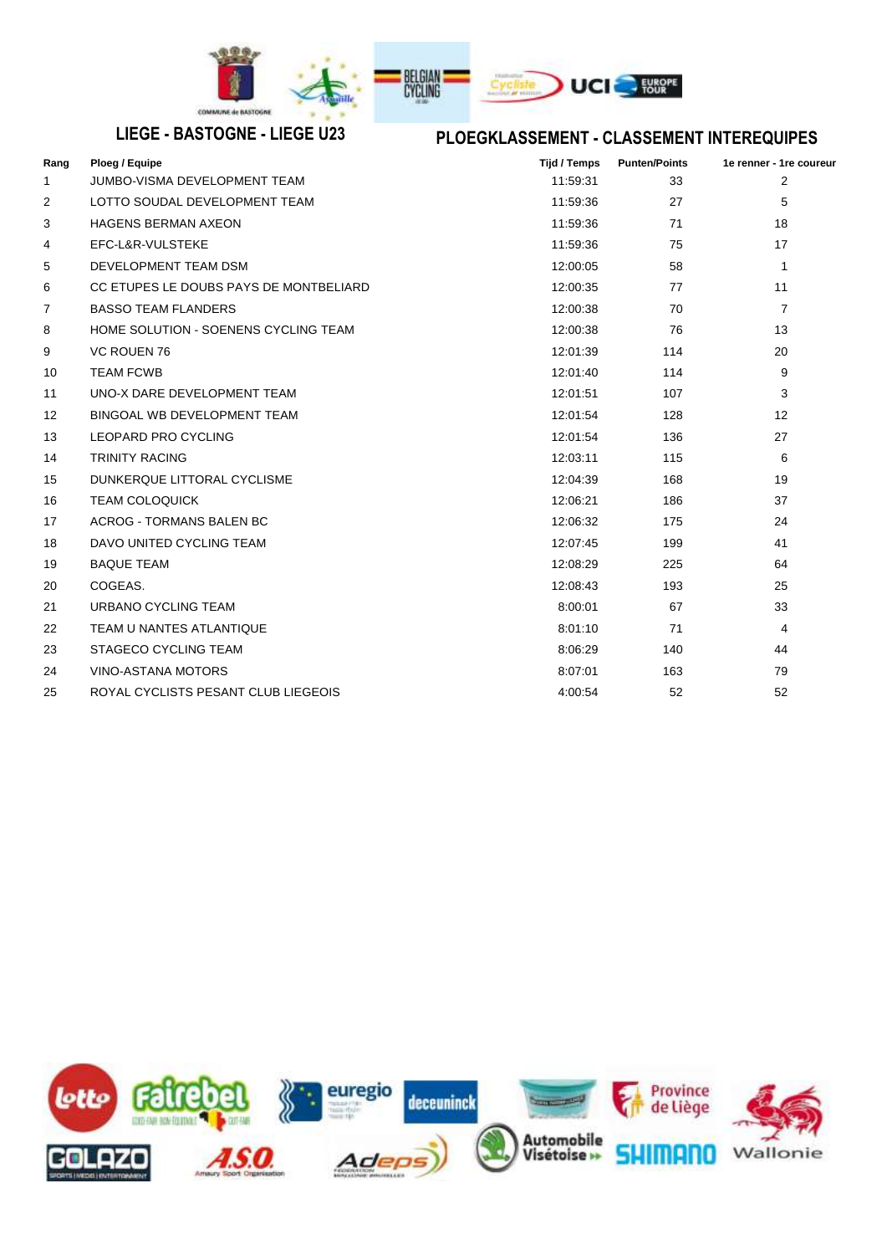

# **LIEGE - BASTOGNE - LIEGE U23 PLOEGKLASSEMENT - CLASSEMENT INTEREQUIPES**

| Rang              | Ploeg / Equipe                         | <b>Tijd / Temps</b> | <b>Punten/Points</b> | 1e renner - 1re coureur |
|-------------------|----------------------------------------|---------------------|----------------------|-------------------------|
| 1                 | JUMBO-VISMA DEVELOPMENT TEAM           | 11:59:31            | 33                   | $\overline{2}$          |
| 2                 | LOTTO SOUDAL DEVELOPMENT TEAM          | 11:59:36            | 27                   | 5                       |
| 3                 | <b>HAGENS BERMAN AXEON</b>             | 11:59:36            | 71                   | 18                      |
| 4                 | EFC-L&R-VULSTEKE                       | 11:59:36            | 75                   | 17                      |
| 5                 | DEVELOPMENT TEAM DSM                   | 12:00:05            | 58                   | $\mathbf{1}$            |
| 6                 | CC ETUPES LE DOUBS PAYS DE MONTBELIARD | 12:00:35            | 77                   | 11                      |
| 7                 | <b>BASSO TEAM FLANDERS</b>             | 12:00:38            | 70                   | $\overline{7}$          |
| 8                 | HOME SOLUTION - SOENENS CYCLING TEAM   | 12:00:38            | 76                   | 13                      |
| 9                 | <b>VC ROUEN 76</b>                     | 12:01:39            | 114                  | 20                      |
| 10                | <b>TEAM FCWB</b>                       | 12:01:40            | 114                  | 9                       |
| 11                | UNO-X DARE DEVELOPMENT TEAM            | 12:01:51            | 107                  | 3                       |
| $12 \overline{ }$ | BINGOAL WB DEVELOPMENT TEAM            | 12:01:54            | 128                  | 12                      |
| 13                | <b>LEOPARD PRO CYCLING</b>             | 12:01:54            | 136                  | 27                      |
| 14                | <b>TRINITY RACING</b>                  | 12:03:11            | 115                  | 6                       |
| 15                | DUNKERQUE LITTORAL CYCLISME            | 12:04:39            | 168                  | 19                      |
| 16                | <b>TEAM COLOQUICK</b>                  | 12:06:21            | 186                  | 37                      |
| 17                | <b>ACROG - TORMANS BALEN BC</b>        | 12:06:32            | 175                  | 24                      |
| 18                | DAVO UNITED CYCLING TEAM               | 12:07:45            | 199                  | 41                      |
| 19                | <b>BAQUE TEAM</b>                      | 12:08:29            | 225                  | 64                      |
| 20                | COGEAS.                                | 12:08:43            | 193                  | 25                      |
| 21                | URBANO CYCLING TEAM                    | 8:00:01             | 67                   | 33                      |
| 22                | <b>TEAM U NANTES ATLANTIQUE</b>        | 8:01:10             | 71                   | $\overline{4}$          |
| 23                | <b>STAGECO CYCLING TEAM</b>            | 8:06:29             | 140                  | 44                      |
| 24                | <b>VINO-ASTANA MOTORS</b>              | 8:07:01             | 163                  | 79                      |
| 25                | ROYAL CYCLISTS PESANT CLUB LIEGEOIS    | 4:00:54             | 52                   | 52                      |